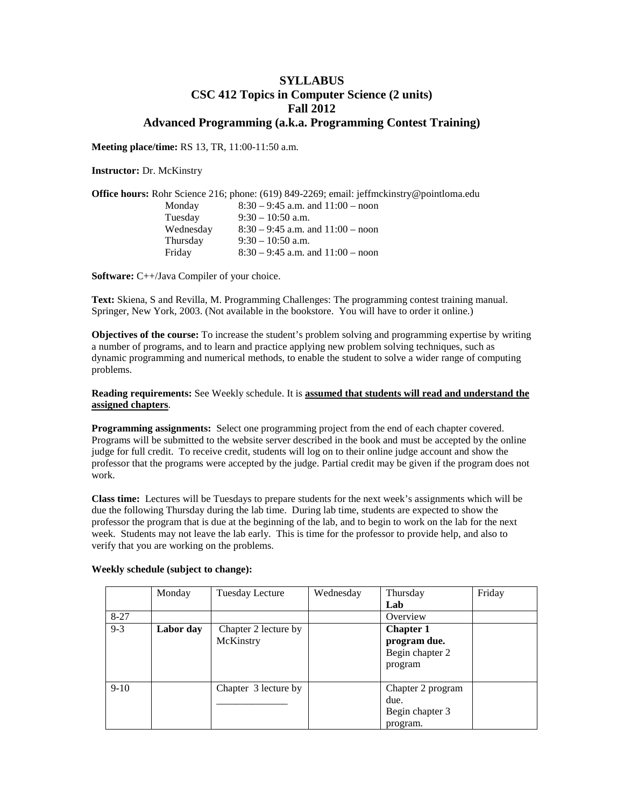# **SYLLABUS CSC 412 Topics in Computer Science (2 units) Fall 2012 Advanced Programming (a.k.a. Programming Contest Training)**

**Meeting place/time:** RS 13, TR, 11:00-11:50 a.m.

**Instructor:** Dr. McKinstry

|           | <b>Office hours:</b> Rohr Science 216; phone: $(619)$ 849-2269; email: jeffmckinstry@pointloma.edu |
|-----------|----------------------------------------------------------------------------------------------------|
| Monday    | $8:30 - 9:45$ a.m. and $11:00 -$ noon                                                              |
| Tuesday   | $9:30-10:50$ a.m.                                                                                  |
| Wednesday | $8:30 - 9:45$ a.m. and $11:00 -$ noon                                                              |
| Thursday  | $9:30-10:50$ a.m.                                                                                  |
| Friday    | $8:30 - 9:45$ a.m. and $11:00 -$ noon                                                              |

**Software:** C++/Java Compiler of your choice.

**Text:** Skiena, S and Revilla, M. Programming Challenges: The programming contest training manual. Springer, New York, 2003. (Not available in the bookstore. You will have to order it online.)

**Objectives of the course:** To increase the student's problem solving and programming expertise by writing a number of programs, and to learn and practice applying new problem solving techniques, such as dynamic programming and numerical methods, to enable the student to solve a wider range of computing problems.

### **Reading requirements:** See Weekly schedule. It is **assumed that students will read and understand the assigned chapters**.

**Programming assignments:** Select one programming project from the end of each chapter covered. Programs will be submitted to the website server described in the book and must be accepted by the online judge for full credit. To receive credit, students will log on to their online judge account and show the professor that the programs were accepted by the judge. Partial credit may be given if the program does not work.

**Class time:** Lectures will be Tuesdays to prepare students for the next week's assignments which will be due the following Thursday during the lab time. During lab time, students are expected to show the professor the program that is due at the beginning of the lab, and to begin to work on the lab for the next week. Students may not leave the lab early. This is time for the professor to provide help, and also to verify that you are working on the problems.

|          | Monday    | Tuesday Lecture                   | Wednesday | Thursday                                                       | Friday |
|----------|-----------|-----------------------------------|-----------|----------------------------------------------------------------|--------|
|          |           |                                   |           | Lab                                                            |        |
| $8 - 27$ |           |                                   |           | Overview                                                       |        |
| $9 - 3$  | Labor day | Chapter 2 lecture by<br>McKinstry |           | <b>Chapter 1</b><br>program due.<br>Begin chapter 2<br>program |        |
| $9-10$   |           | Chapter 3 lecture by              |           | Chapter 2 program<br>due.<br>Begin chapter 3<br>program.       |        |

#### **Weekly schedule (subject to change):**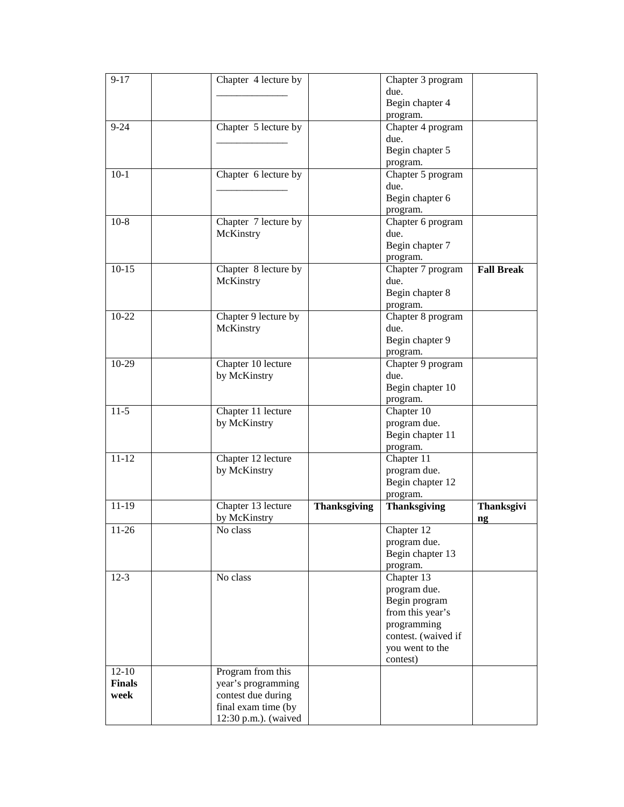| $\overline{9-17}$ | Chapter 4 lecture by              |                     | Chapter 3 program   |                   |
|-------------------|-----------------------------------|---------------------|---------------------|-------------------|
|                   |                                   |                     | due.                |                   |
|                   |                                   |                     | Begin chapter 4     |                   |
|                   |                                   |                     | program.            |                   |
| $9 - 24$          | Chapter 5 lecture by              |                     | Chapter 4 program   |                   |
|                   |                                   |                     | due.                |                   |
|                   |                                   |                     |                     |                   |
|                   |                                   |                     | Begin chapter 5     |                   |
|                   |                                   |                     | program.            |                   |
| $10-1$            | Chapter 6 lecture by              |                     | Chapter 5 program   |                   |
|                   |                                   |                     | due.                |                   |
|                   |                                   |                     | Begin chapter 6     |                   |
|                   |                                   |                     | program.            |                   |
| $10-8$            | Chapter 7 lecture by              |                     | Chapter 6 program   |                   |
|                   | McKinstry                         |                     | due.                |                   |
|                   |                                   |                     | Begin chapter 7     |                   |
|                   |                                   |                     | program.            |                   |
| $10-15$           | Chapter $\overline{8}$ lecture by |                     | Chapter 7 program   | <b>Fall Break</b> |
|                   | McKinstry                         |                     | due.                |                   |
|                   |                                   |                     | Begin chapter 8     |                   |
|                   |                                   |                     | program.            |                   |
| 10-22             | Chapter 9 lecture by              |                     | Chapter 8 program   |                   |
|                   | McKinstry                         |                     | due.                |                   |
|                   |                                   |                     | Begin chapter 9     |                   |
|                   |                                   |                     | program.            |                   |
| 10-29             | Chapter 10 lecture                |                     | Chapter 9 program   |                   |
|                   | by McKinstry                      |                     | due.                |                   |
|                   |                                   |                     | Begin chapter 10    |                   |
|                   |                                   |                     | program.            |                   |
| $11-5$            | Chapter 11 lecture                |                     | Chapter 10          |                   |
|                   | by McKinstry                      |                     | program due.        |                   |
|                   |                                   |                     | Begin chapter 11    |                   |
|                   |                                   |                     | program.            |                   |
| $11 - 12$         | Chapter 12 lecture                |                     | Chapter 11          |                   |
|                   | by McKinstry                      |                     | program due.        |                   |
|                   |                                   |                     | Begin chapter 12    |                   |
|                   |                                   |                     |                     |                   |
| $11-19$           |                                   |                     | program.            |                   |
|                   | Chapter 13 lecture                | <b>Thanksgiving</b> | <b>Thanksgiving</b> | Thanksgivi        |
|                   | by McKinstry                      |                     |                     | ng                |
| $11-26$           | No class                          |                     | Chapter 12          |                   |
|                   |                                   |                     | program due.        |                   |
|                   |                                   |                     | Begin chapter 13    |                   |
|                   |                                   |                     | program.            |                   |
| $12 - 3$          | No class                          |                     | Chapter 13          |                   |
|                   |                                   |                     | program due.        |                   |
|                   |                                   |                     | Begin program       |                   |
|                   |                                   |                     | from this year's    |                   |
|                   |                                   |                     | programming         |                   |
|                   |                                   |                     | contest. (waived if |                   |
|                   |                                   |                     | you went to the     |                   |
|                   |                                   |                     | contest)            |                   |
| $12-10$           | Program from this                 |                     |                     |                   |
| <b>Finals</b>     | year's programming                |                     |                     |                   |
| week              | contest due during                |                     |                     |                   |
|                   | final exam time (by               |                     |                     |                   |
|                   | 12:30 p.m.). (waived              |                     |                     |                   |